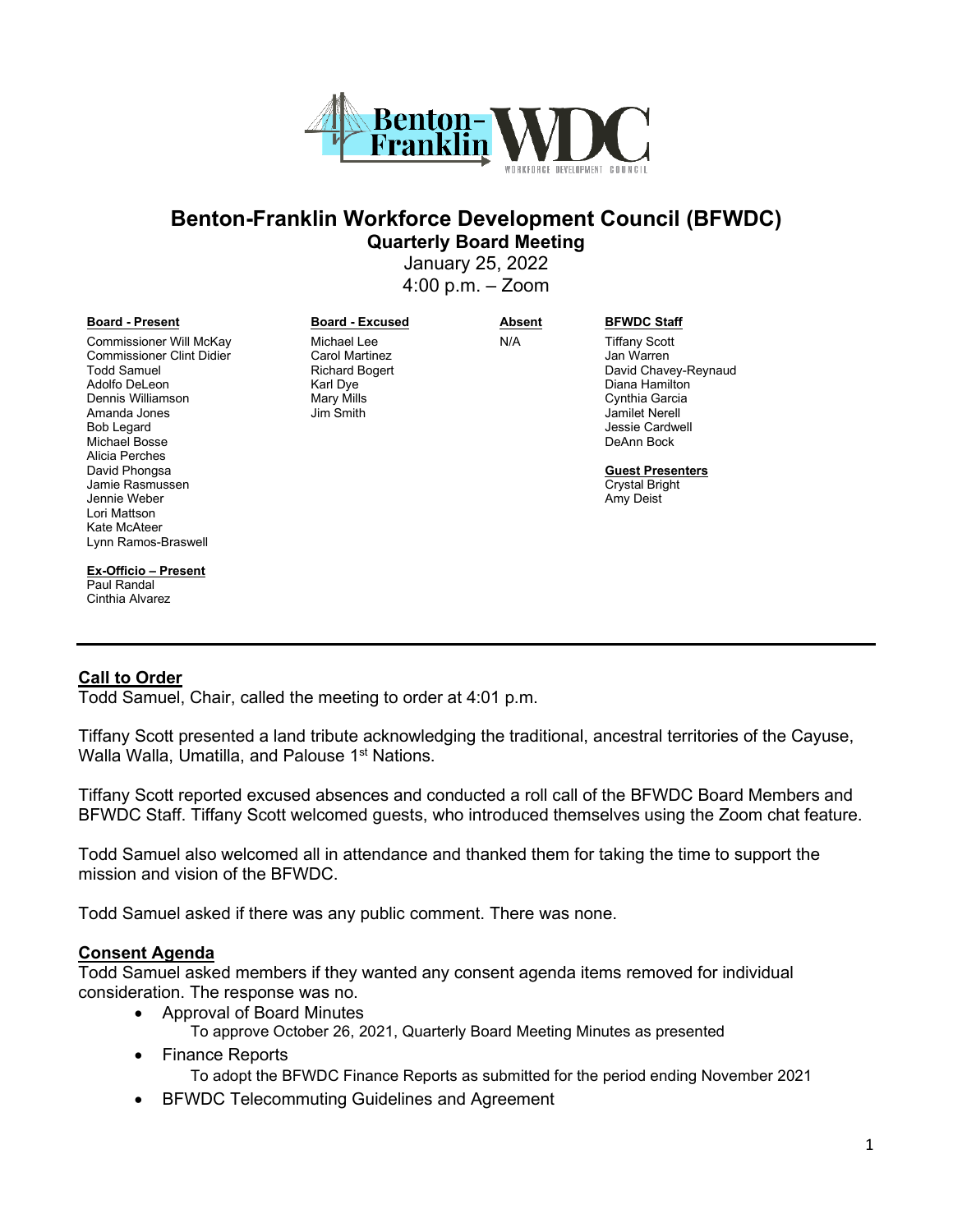

# **Benton-Franklin Workforce Development Council (BFWDC) Quarterly Board Meeting**

January 25, 2022 4:00 p.m. – Zoom

#### **Board - Present Board - Excused Absent BFWDC Staff**

Commissioner Will McKay Commissioner Clint Didier Todd Samuel Adolfo DeLeon Dennis Williamson Amanda Jones Bob Legard Michael Bosse Alicia Perches David Phongsa Jamie Rasmussen Jennie Weber Lori Mattson Kate McAteer Lynn Ramos-Braswell

**Ex-Officio – Present** Paul Randal Cinthia Alvarez

Michael Lee Carol Martinez Richard Bogert Karl Dye Mary Mills Jim Smith

N/A Tiffany Scott Jan Warren David Chavey-Reynaud Diana Hamilton Cynthia Garcia Jamilet Nerell Jessie Cardwell DeAnn Bock

> **Guest Presenters** Crystal Bright Amy Deist

#### **Call to Order**

Todd Samuel, Chair, called the meeting to order at 4:01 p.m.

Tiffany Scott presented a land tribute acknowledging the traditional, ancestral territories of the Cayuse, Walla Walla, Umatilla, and Palouse 1<sup>st</sup> Nations.

Tiffany Scott reported excused absences and conducted a roll call of the BFWDC Board Members and BFWDC Staff. Tiffany Scott welcomed guests, who introduced themselves using the Zoom chat feature.

Todd Samuel also welcomed all in attendance and thanked them for taking the time to support the mission and vision of the BFWDC.

Todd Samuel asked if there was any public comment. There was none.

#### **Consent Agenda**

Todd Samuel asked members if they wanted any consent agenda items removed for individual consideration. The response was no.

- Approval of Board Minutes
	- To approve October 26, 2021, Quarterly Board Meeting Minutes as presented
- Finance Reports
	- To adopt the BFWDC Finance Reports as submitted for the period ending November 2021
- BFWDC Telecommuting Guidelines and Agreement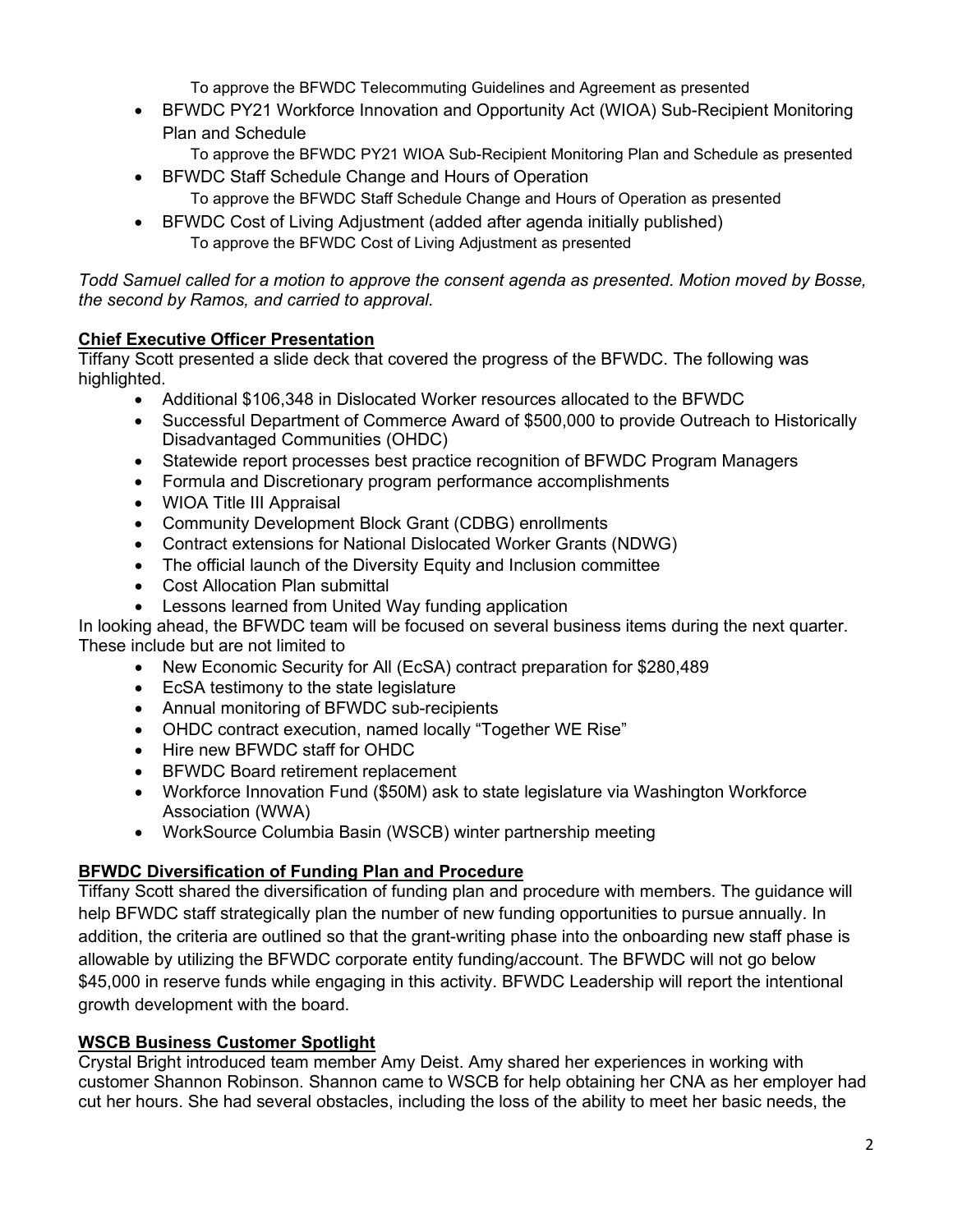To approve the BFWDC Telecommuting Guidelines and Agreement as presented

- BFWDC PY21 Workforce Innovation and Opportunity Act (WIOA) Sub-Recipient Monitoring Plan and Schedule
	- To approve the BFWDC PY21 WIOA Sub-Recipient Monitoring Plan and Schedule as presented
- BFWDC Staff Schedule Change and Hours of Operation To approve the BFWDC Staff Schedule Change and Hours of Operation as presented
- BFWDC Cost of Living Adjustment (added after agenda initially published) To approve the BFWDC Cost of Living Adjustment as presented

*Todd Samuel called for a motion to approve the consent agenda as presented. Motion moved by Bosse, the second by Ramos, and carried to approval.* 

## **Chief Executive Officer Presentation**

Tiffany Scott presented a slide deck that covered the progress of the BFWDC. The following was highlighted.

- Additional \$106,348 in Dislocated Worker resources allocated to the BFWDC
- Successful Department of Commerce Award of \$500,000 to provide Outreach to Historically Disadvantaged Communities (OHDC)
- Statewide report processes best practice recognition of BFWDC Program Managers
- Formula and Discretionary program performance accomplishments
- WIOA Title III Appraisal
- Community Development Block Grant (CDBG) enrollments
- Contract extensions for National Dislocated Worker Grants (NDWG)
- The official launch of the Diversity Equity and Inclusion committee
- Cost Allocation Plan submittal
- Lessons learned from United Way funding application

In looking ahead, the BFWDC team will be focused on several business items during the next quarter. These include but are not limited to

- New Economic Security for All (EcSA) contract preparation for \$280,489
- EcSA testimony to the state legislature
- Annual monitoring of BFWDC sub-recipients
- OHDC contract execution, named locally "Together WE Rise"
- Hire new BFWDC staff for OHDC
- BFWDC Board retirement replacement
- Workforce Innovation Fund (\$50M) ask to state legislature via Washington Workforce Association (WWA)
- WorkSource Columbia Basin (WSCB) winter partnership meeting

## **BFWDC Diversification of Funding Plan and Procedure**

Tiffany Scott shared the diversification of funding plan and procedure with members. The guidance will help BFWDC staff strategically plan the number of new funding opportunities to pursue annually. In addition, the criteria are outlined so that the grant-writing phase into the onboarding new staff phase is allowable by utilizing the BFWDC corporate entity funding/account. The BFWDC will not go below \$45,000 in reserve funds while engaging in this activity. BFWDC Leadership will report the intentional growth development with the board.

## **WSCB Business Customer Spotlight**

Crystal Bright introduced team member Amy Deist. Amy shared her experiences in working with customer Shannon Robinson. Shannon came to WSCB for help obtaining her CNA as her employer had cut her hours. She had several obstacles, including the loss of the ability to meet her basic needs, the